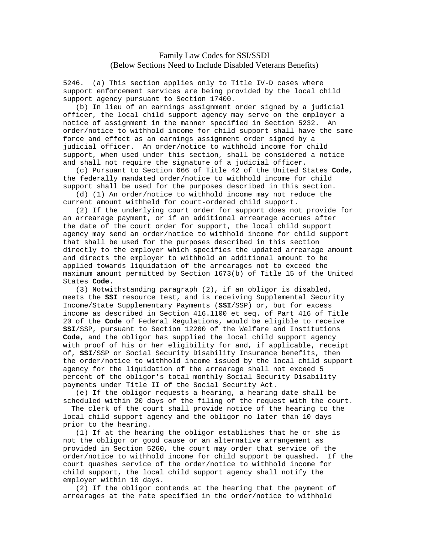## Family Law Codes for SSI/SSDI (Below Sections Need to Include Disabled Veterans Benefits)

5246. (a) This section applies only to Title IV-D cases where support enforcement services are being provided by the local child support agency pursuant to Section 17400.

 (b) In lieu of an earnings assignment order signed by a judicial officer, the local child support agency may serve on the employer a notice of assignment in the manner specified in Section 5232. An order/notice to withhold income for child support shall have the same force and effect as an earnings assignment order signed by a judicial officer. An order/notice to withhold income for child support, when used under this section, shall be considered a notice and shall not require the signature of a judicial officer.

 (c) Pursuant to Section 666 of Title 42 of the United States **Code**, the federally mandated order/notice to withhold income for child support shall be used for the purposes described in this section.

 (d) (1) An order/notice to withhold income may not reduce the current amount withheld for court-ordered child support.

 (2) If the underlying court order for support does not provide for an arrearage payment, or if an additional arrearage accrues after the date of the court order for support, the local child support agency may send an order/notice to withhold income for child support that shall be used for the purposes described in this section directly to the employer which specifies the updated arrearage amount and directs the employer to withhold an additional amount to be applied towards liquidation of the arrearages not to exceed the maximum amount permitted by Section 1673(b) of Title 15 of the United States **Code**.

 (3) Notwithstanding paragraph (2), if an obligor is disabled, meets the **SSI** resource test, and is receiving Supplemental Security Income/State Supplementary Payments (**SSI**/SSP) or, but for excess income as described in Section 416.1100 et seq. of Part 416 of Title 20 of the **Code** of Federal Regulations, would be eligible to receive **SSI**/SSP, pursuant to Section 12200 of the Welfare and Institutions **Code**, and the obligor has supplied the local child support agency with proof of his or her eligibility for and, if applicable, receipt of, **SSI**/SSP or Social Security Disability Insurance benefits, then the order/notice to withhold income issued by the local child support agency for the liquidation of the arrearage shall not exceed 5 percent of the obligor's total monthly Social Security Disability payments under Title II of the Social Security Act.

 (e) If the obligor requests a hearing, a hearing date shall be scheduled within 20 days of the filing of the request with the court.

 The clerk of the court shall provide notice of the hearing to the local child support agency and the obligor no later than 10 days prior to the hearing.

 (1) If at the hearing the obligor establishes that he or she is not the obligor or good cause or an alternative arrangement as provided in Section 5260, the court may order that service of the order/notice to withhold income for child support be quashed. If the court quashes service of the order/notice to withhold income for child support, the local child support agency shall notify the employer within 10 days.

 (2) If the obligor contends at the hearing that the payment of arrearages at the rate specified in the order/notice to withhold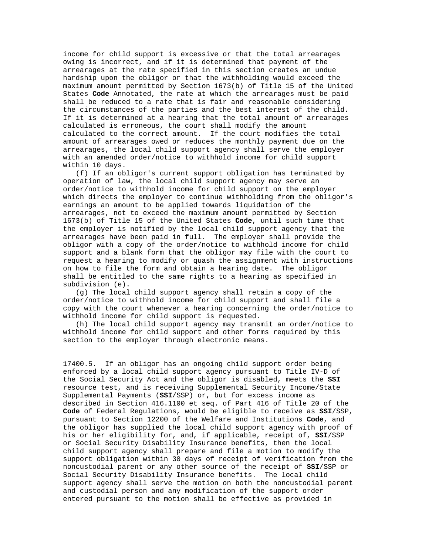income for child support is excessive or that the total arrearages owing is incorrect, and if it is determined that payment of the arrearages at the rate specified in this section creates an undue hardship upon the obligor or that the withholding would exceed the maximum amount permitted by Section 1673(b) of Title 15 of the United States **Code** Annotated, the rate at which the arrearages must be paid shall be reduced to a rate that is fair and reasonable considering the circumstances of the parties and the best interest of the child. If it is determined at a hearing that the total amount of arrearages calculated is erroneous, the court shall modify the amount calculated to the correct amount. If the court modifies the total amount of arrearages owed or reduces the monthly payment due on the arrearages, the local child support agency shall serve the employer with an amended order/notice to withhold income for child support within 10 days.

 (f) If an obligor's current support obligation has terminated by operation of law, the local child support agency may serve an order/notice to withhold income for child support on the employer which directs the employer to continue withholding from the obligor's earnings an amount to be applied towards liquidation of the arrearages, not to exceed the maximum amount permitted by Section 1673(b) of Title 15 of the United States **Code**, until such time that the employer is notified by the local child support agency that the arrearages have been paid in full. The employer shall provide the obligor with a copy of the order/notice to withhold income for child support and a blank form that the obligor may file with the court to request a hearing to modify or quash the assignment with instructions on how to file the form and obtain a hearing date. The obligor shall be entitled to the same rights to a hearing as specified in subdivision (e).

 (g) The local child support agency shall retain a copy of the order/notice to withhold income for child support and shall file a copy with the court whenever a hearing concerning the order/notice to withhold income for child support is requested.

 (h) The local child support agency may transmit an order/notice to withhold income for child support and other forms required by this section to the employer through electronic means.

17400.5. If an obligor has an ongoing child support order being enforced by a local child support agency pursuant to Title IV-D of the Social Security Act and the obligor is disabled, meets the **SSI** resource test, and is receiving Supplemental Security Income/State Supplemental Payments (**SSI**/SSP) or, but for excess income as described in Section 416.1100 et seq. of Part 416 of Title 20 of the **Code** of Federal Regulations, would be eligible to receive as **SSI**/SSP, pursuant to Section 12200 of the Welfare and Institutions **Code**, and the obligor has supplied the local child support agency with proof of his or her eligibility for, and, if applicable, receipt of, **SSI**/SSP or Social Security Disability Insurance benefits, then the local child support agency shall prepare and file a motion to modify the support obligation within 30 days of receipt of verification from the noncustodial parent or any other source of the receipt of **SSI**/SSP or Social Security Disability Insurance benefits. The local child support agency shall serve the motion on both the noncustodial parent and custodial person and any modification of the support order entered pursuant to the motion shall be effective as provided in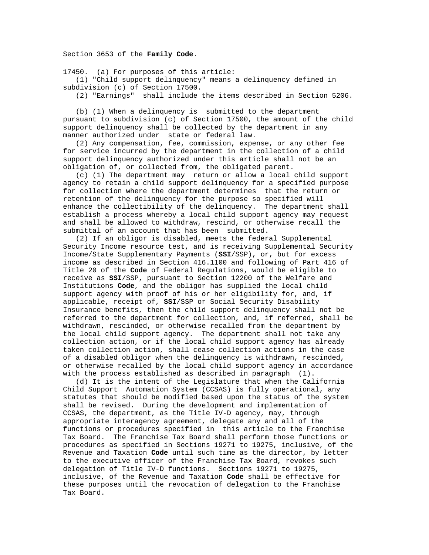Section 3653 of the **Family Code**.

17450. (a) For purposes of this article:

 (1) "Child support delinquency" means a delinquency defined in subdivision (c) of Section 17500.

(2) "Earnings" shall include the items described in Section 5206.

 (b) (1) When a delinquency is submitted to the department pursuant to subdivision (c) of Section 17500, the amount of the child support delinquency shall be collected by the department in any manner authorized under state or federal law.

 (2) Any compensation, fee, commission, expense, or any other fee for service incurred by the department in the collection of a child support delinquency authorized under this article shall not be an obligation of, or collected from, the obligated parent.

 (c) (1) The department may return or allow a local child support agency to retain a child support delinquency for a specified purpose for collection where the department determines that the return or retention of the delinquency for the purpose so specified will enhance the collectibility of the delinquency. The department shall establish a process whereby a local child support agency may request and shall be allowed to withdraw, rescind, or otherwise recall the submittal of an account that has been submitted.

 (2) If an obligor is disabled, meets the federal Supplemental Security Income resource test, and is receiving Supplemental Security Income/State Supplementary Payments (**SSI**/SSP), or, but for excess income as described in Section 416.1100 and following of Part 416 of Title 20 of the **Code** of Federal Regulations, would be eligible to receive as **SSI**/SSP, pursuant to Section 12200 of the Welfare and Institutions **Code**, and the obligor has supplied the local child support agency with proof of his or her eligibility for, and, if applicable, receipt of, **SSI**/SSP or Social Security Disability Insurance benefits, then the child support delinquency shall not be referred to the department for collection, and, if referred, shall be withdrawn, rescinded, or otherwise recalled from the department by the local child support agency. The department shall not take any collection action, or if the local child support agency has already taken collection action, shall cease collection actions in the case of a disabled obligor when the delinquency is withdrawn, rescinded, or otherwise recalled by the local child support agency in accordance with the process established as described in paragraph (1).

 (d) It is the intent of the Legislature that when the California Child Support Automation System (CCSAS) is fully operational, any statutes that should be modified based upon the status of the system shall be revised. During the development and implementation of CCSAS, the department, as the Title IV-D agency, may, through appropriate interagency agreement, delegate any and all of the functions or procedures specified in this article to the Franchise Tax Board. The Franchise Tax Board shall perform those functions or procedures as specified in Sections 19271 to 19275, inclusive, of the Revenue and Taxation **Code** until such time as the director, by letter to the executive officer of the Franchise Tax Board, revokes such delegation of Title IV-D functions. Sections 19271 to 19275, inclusive, of the Revenue and Taxation **Code** shall be effective for these purposes until the revocation of delegation to the Franchise Tax Board.